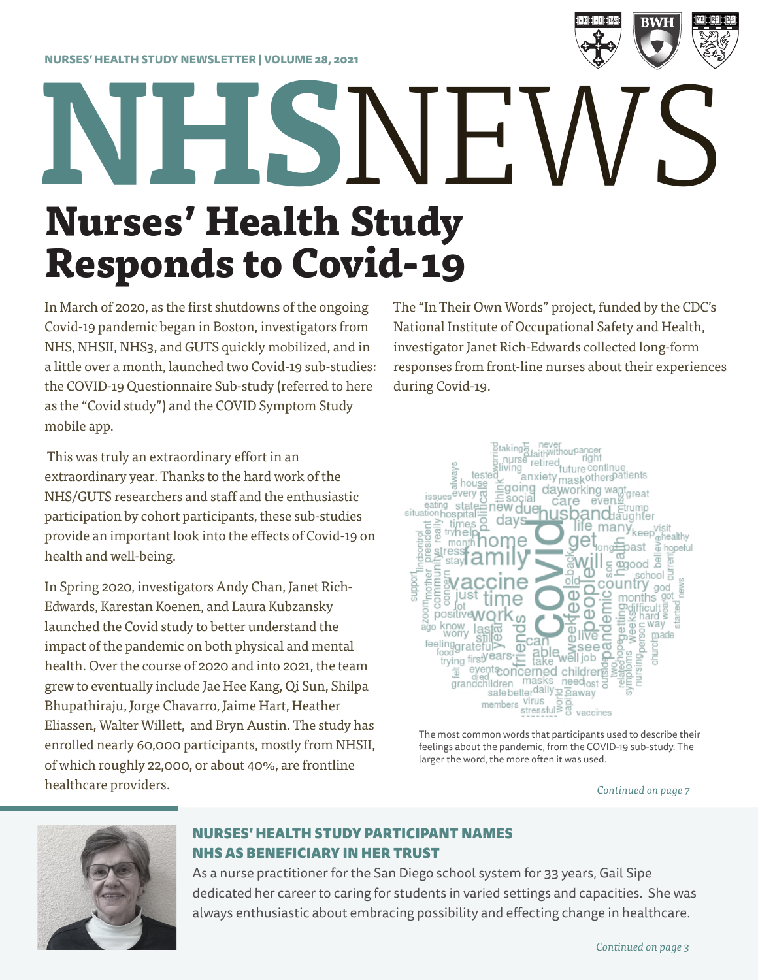

# **Nurses' Health Study Responds to Covid-19 NHS**NEWS

In March of 2020, as the first shutdowns of the ongoing Covid-19 pandemic began in Boston, investigators from NHS, NHSII, NHS3, and GUTS quickly mobilized, and in a little over a month, launched two Covid-19 sub-studies: the COVID-19 Questionnaire Sub-study (referred to here as the "Covid study") and the COVID Symptom Study mobile app.

 This was truly an extraordinary effort in an extraordinary year. Thanks to the hard work of the NHS/GUTS researchers and staff and the enthusiastic participation by cohort participants, these sub-studies provide an important look into the effects of Covid-19 on health and well-being.

In Spring 2020, investigators Andy Chan, Janet Rich-Edwards, Karestan Koenen, and Laura Kubzansky launched the Covid study to better understand the impact of the pandemic on both physical and mental health. Over the course of 2020 and into 2021, the team grew to eventually include Jae Hee Kang, Qi Sun, Shilpa Bhupathiraju, Jorge Chavarro, Jaime Hart, Heather Eliassen, Walter Willett, and Bryn Austin. The study has enrolled nearly 60,000 participants, mostly from NHSII, of which roughly 22,000, or about 40%, are frontline healthcare providers.

The "In Their Own Words" project, funded by the CDC's National Institute of Occupational Safety and Health, investigator Janet Rich-Edwards collected long-form responses from front-line nurses about their experiences during Covid-19.



The most common words that participants used to describe their feelings about the pandemic, from the COVID-19 sub-study. The larger the word, the more often it was used.

*Continued on page 7*



#### NURSES' HEALTH STUDY PARTICIPANT NAMES NHS AS BENEFICIARY IN HER TRUST

As a nurse practitioner for the San Diego school system for 33 years, Gail Sipe dedicated her career to caring for students in varied settings and capacities. She was always enthusiastic about embracing possibility and effecting change in healthcare.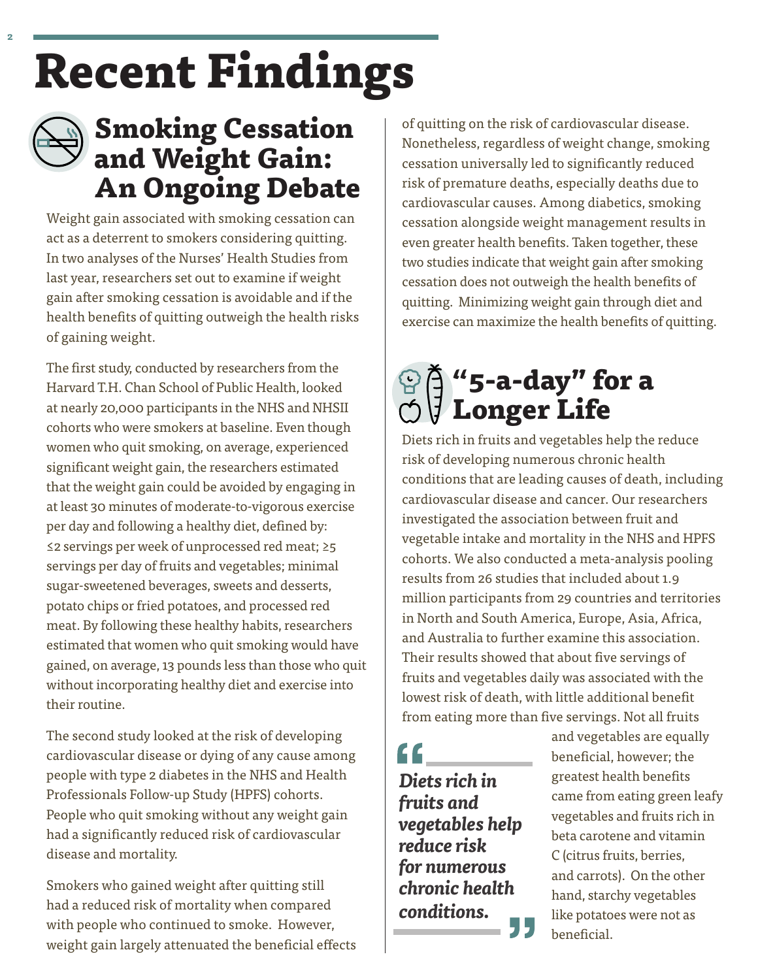## **Recent Findings**



**2**

### **Smoking Cessation and Weight Gain: An Ongoing Debate**

Weight gain associated with smoking cessation can act as a deterrent to smokers considering quitting. In two analyses of the Nurses' Health Studies from last year, researchers set out to examine if weight gain after smoking cessation is avoidable and if the health benefits of quitting outweigh the health risks of gaining weight.

The first study, conducted by researchers from the Harvard T.H. Chan School of Public Health, looked at nearly 20,000 participants in the NHS and NHSII cohorts who were smokers at baseline. Even though women who quit smoking, on average, experienced significant weight gain, the researchers estimated that the weight gain could be avoided by engaging in at least 30 minutes of moderate-to-vigorous exercise per day and following a healthy diet, defined by: ≤2 servings per week of unprocessed red meat; ≥5 servings per day of fruits and vegetables; minimal sugar-sweetened beverages, sweets and desserts, potato chips or fried potatoes, and processed red meat. By following these healthy habits, researchers estimated that women who quit smoking would have gained, on average, 13 pounds less than those who quit without incorporating healthy diet and exercise into their routine.

The second study looked at the risk of developing cardiovascular disease or dying of any cause among people with type 2 diabetes in the NHS and Health Professionals Follow-up Study (HPFS) cohorts. People who quit smoking without any weight gain had a significantly reduced risk of cardiovascular disease and mortality.

Smokers who gained weight after quitting still had a reduced risk of mortality when compared with people who continued to smoke. However, weight gain largely attenuated the beneficial effects of quitting on the risk of cardiovascular disease. Nonetheless, regardless of weight change, smoking cessation universally led to significantly reduced risk of premature deaths, especially deaths due to cardiovascular causes. Among diabetics, smoking cessation alongside weight management results in even greater health benefits. Taken together, these two studies indicate that weight gain after smoking cessation does not outweigh the health benefits of quitting. Minimizing weight gain through diet and exercise can maximize the health benefits of quitting.

## **"5-a-day" for a Longer Life**

Diets rich in fruits and vegetables help the reduce risk of developing numerous chronic health conditions that are leading causes of death, including cardiovascular disease and cancer. Our researchers investigated the association between fruit and vegetable intake and mortality in the NHS and HPFS cohorts. We also conducted a meta-analysis pooling results from 26 studies that included about 1.9 million participants from 29 countries and territories in North and South America, Europe, Asia, Africa, and Australia to further examine this association. Their results showed that about five servings of fruits and vegetables daily was associated with the lowest risk of death, with little additional benefit from eating more than five servings. Not all fruits

66 *Diets rich in fruits and vegetables help reduce risk for numerous chronic health conditions.*

and vegetables are equally beneficial, however; the greatest health benefits came from eating green leafy vegetables and fruits rich in beta carotene and vitamin C (citrus fruits, berries, and carrots). On the other hand, starchy vegetables like potatoes were not as beneficial.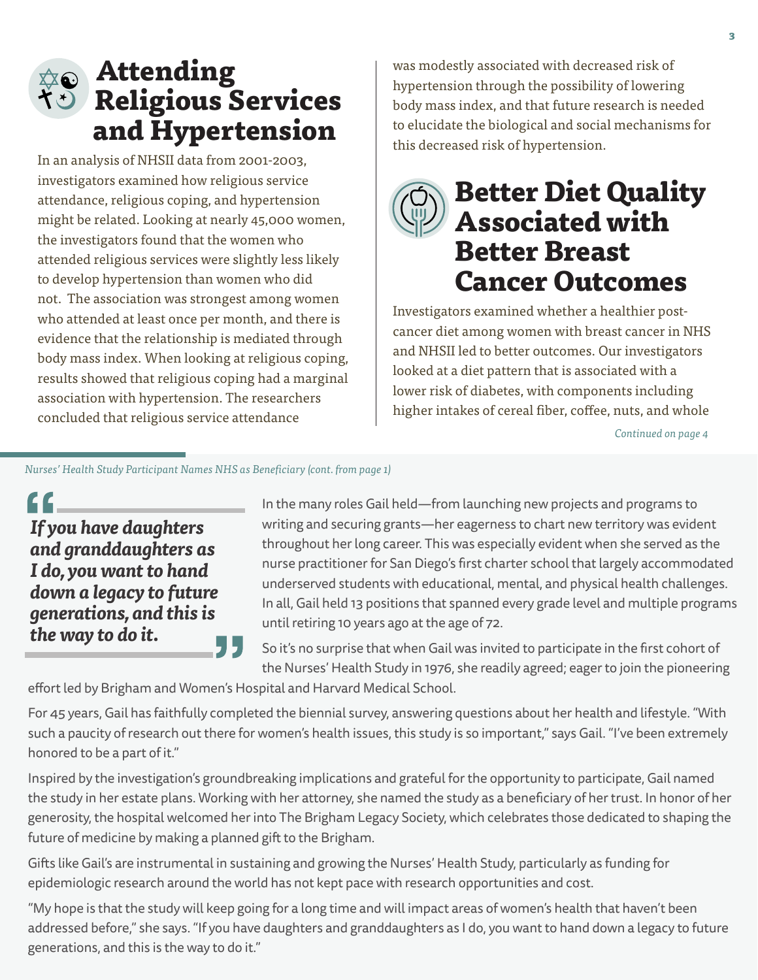## **Attending Religious Services and Hypertension**

In an analysis of NHSII data from 2001-2003, investigators examined how religious service attendance, religious coping, and hypertension might be related. Looking at nearly 45,000 women, the investigators found that the women who attended religious services were slightly less likely to develop hypertension than women who did not. The association was strongest among women who attended at least once per month, and there is evidence that the relationship is mediated through body mass index. When looking at religious coping, results showed that religious coping had a marginal association with hypertension. The researchers concluded that religious service attendance

was modestly associated with decreased risk of hypertension through the possibility of lowering body mass index, and that future research is needed to elucidate the biological and social mechanisms for this decreased risk of hypertension.

## **Better Diet Quality Associated with Better Breast Cancer Outcomes**

Investigators examined whether a healthier postcancer diet among women with breast cancer in NHS and NHSII led to better outcomes. Our investigators looked at a diet pattern that is associated with a lower risk of diabetes, with components including higher intakes of cereal fiber, coffee, nuts, and whole

*Continued on page 4*

*Nurses' Health Study Participant Names NHS as Beneficiary (cont. from page 1)*

66 *If you have daughters and granddaughters as I do, you want to hand down a legacy to future generations, and this is the way to do it.*

In the many roles Gail held—from launching new projects and programs to writing and securing grants—her eagerness to chart new territory was evident throughout her long career. This was especially evident when she served as the nurse practitioner for San Diego's first charter school that largely accommodated underserved students with educational, mental, and physical health challenges. In all, Gail held 13 positions that spanned every grade level and multiple programs until retiring 10 years ago at the age of 72.

So it's no surprise that when Gail was invited to participate in the first cohort of the Nurses' Health Study in 1976, she readily agreed; eager to join the pioneering

effort led by Brigham and Women's Hospital and Harvard Medical School.

For 45 years, Gail has faithfully completed the biennial survey, answering questions about her health and lifestyle. "With such a paucity of research out there for women's health issues, this study is so important," says Gail. "I've been extremely honored to be a part of it."

Inspired by the investigation's groundbreaking implications and grateful for the opportunity to participate, Gail named the study in her estate plans. Working with her attorney, she named the study as a beneficiary of her trust. In honor of her generosity, the hospital welcomed her into The Brigham Legacy Society, which celebrates those dedicated to shaping the future of medicine by making a planned gift to the Brigham.

Gifts like Gail's are instrumental in sustaining and growing the Nurses' Health Study, particularly as funding for epidemiologic research around the world has not kept pace with research opportunities and cost.

"My hope is that the study will keep going for a long time and will impact areas of women's health that haven't been addressed before," she says. "If you have daughters and granddaughters as I do, you want to hand down a legacy to future generations, and this is the way to do it."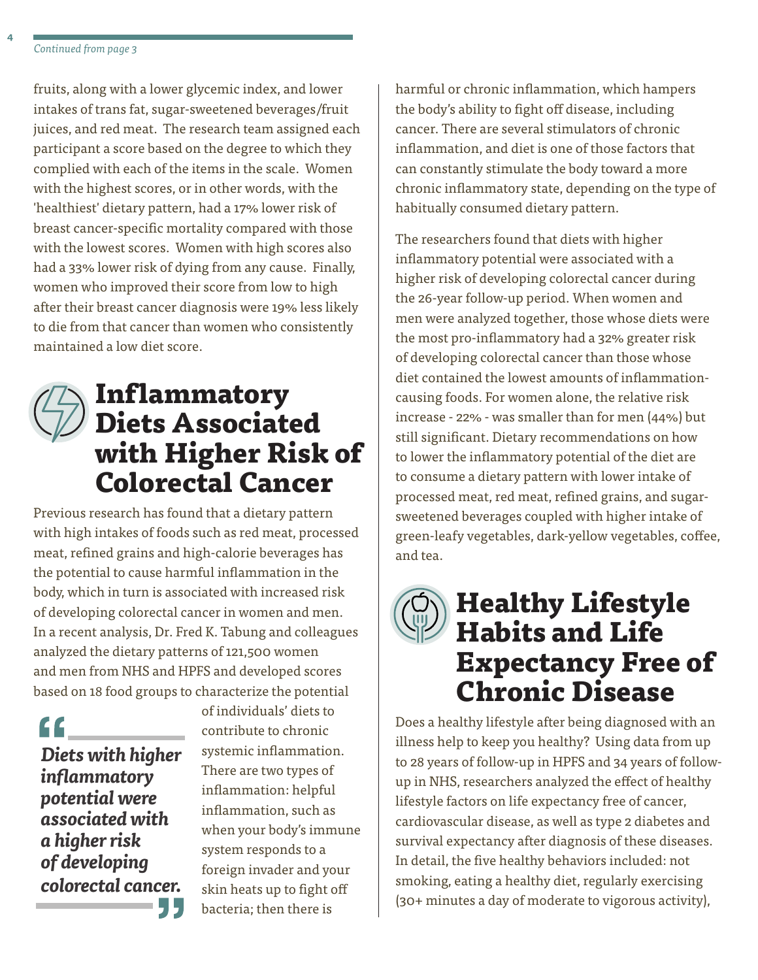#### *Continued from page 3*

fruits, along with a lower glycemic index, and lower intakes of trans fat, sugar-sweetened beverages/fruit juices, and red meat. The research team assigned each participant a score based on the degree to which they complied with each of the items in the scale. Women with the highest scores, or in other words, with the 'healthiest' dietary pattern, had a 17% lower risk of breast cancer-specific mortality compared with those with the lowest scores. Women with high scores also had a 33% lower risk of dying from any cause. Finally, women who improved their score from low to high after their breast cancer diagnosis were 19% less likely to die from that cancer than women who consistently maintained a low diet score.

## **Inflammatory Diets Associated with Higher Risk of Colorectal Cancer**

Previous research has found that a dietary pattern with high intakes of foods such as red meat, processed meat, refined grains and high-calorie beverages has the potential to cause harmful inflammation in the body, which in turn is associated with increased risk of developing colorectal cancer in women and men. In a recent analysis, Dr. Fred K. Tabung and colleagues analyzed the dietary patterns of 121,500 women and men from NHS and HPFS and developed scores based on 18 food groups to characterize the potential

66 - 10 *Diets with higher inflammatory potential were associated with a higher risk of developing colorectal cancer.* of individuals' diets to contribute to chronic systemic inflammation. There are two types of inflammation: helpful inflammation, such as when your body's immune system responds to a foreign invader and your skin heats up to fight off bacteria; then there is

harmful or chronic inflammation, which hampers the body's ability to fight off disease, including cancer. There are several stimulators of chronic inflammation, and diet is one of those factors that can constantly stimulate the body toward a more chronic inflammatory state, depending on the type of habitually consumed dietary pattern.

The researchers found that diets with higher inflammatory potential were associated with a higher risk of developing colorectal cancer during the 26-year follow-up period. When women and men were analyzed together, those whose diets were the most pro-inflammatory had a 32% greater risk of developing colorectal cancer than those whose diet contained the lowest amounts of inflammationcausing foods. For women alone, the relative risk increase - 22% - was smaller than for men (44%) but still significant. Dietary recommendations on how to lower the inflammatory potential of the diet are to consume a dietary pattern with lower intake of processed meat, red meat, refined grains, and sugarsweetened beverages coupled with higher intake of green-leafy vegetables, dark-yellow vegetables, coffee, and tea.

## **Healthy Lifestyle Habits and Life Expectancy Free of Chronic Disease**

Does a healthy lifestyle after being diagnosed with an illness help to keep you healthy? Using data from up to 28 years of follow-up in HPFS and 34 years of followup in NHS, researchers analyzed the effect of healthy lifestyle factors on life expectancy free of cancer, cardiovascular disease, as well as type 2 diabetes and survival expectancy after diagnosis of these diseases. In detail, the five healthy behaviors included: not smoking, eating a healthy diet, regularly exercising (30+ minutes a day of moderate to vigorous activity),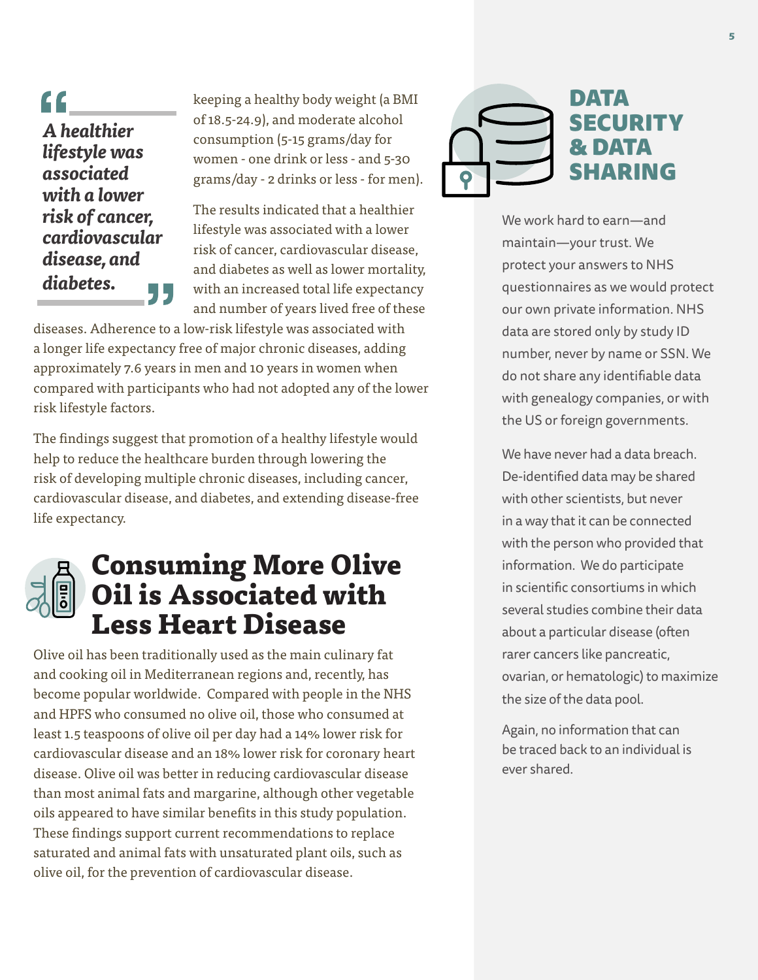$\epsilon$ *A healthier lifestyle was associated with a lower risk of cancer, cardiovascular disease, and diabetes.*

keeping a healthy body weight (a BMI of 18.5-24.9), and moderate alcohol consumption (5-15 grams/day for women - one drink or less - and 5-30 grams/day - 2 drinks or less - for men).

The results indicated that a healthier lifestyle was associated with a lower risk of cancer, cardiovascular disease, and diabetes as well as lower mortality, with an increased total life expectancy and number of years lived free of these

diseases. Adherence to a low-risk lifestyle was associated with a longer life expectancy free of major chronic diseases, adding approximately 7.6 years in men and 10 years in women when compared with participants who had not adopted any of the lower risk lifestyle factors.

The findings suggest that promotion of a healthy lifestyle would help to reduce the healthcare burden through lowering the risk of developing multiple chronic diseases, including cancer, cardiovascular disease, and diabetes, and extending disease-free life expectancy.

## **Consuming More Olive Oil is Associated with Less Heart Disease**

Olive oil has been traditionally used as the main culinary fat and cooking oil in Mediterranean regions and, recently, has become popular worldwide. Compared with people in the NHS and HPFS who consumed no olive oil, those who consumed at least 1.5 teaspoons of olive oil per day had a 14% lower risk for cardiovascular disease and an 18% lower risk for coronary heart disease. Olive oil was better in reducing cardiovascular disease than most animal fats and margarine, although other vegetable oils appeared to have similar benefits in this study population. These findings support current recommendations to replace saturated and animal fats with unsaturated plant oils, such as olive oil, for the prevention of cardiovascular disease.



We work hard to earn—and maintain—your trust. We protect your answers to NHS questionnaires as we would protect our own private information. NHS data are stored only by study ID number, never by name or SSN. We do not share any identifiable data with genealogy companies, or with the US or foreign governments.

We have never had a data breach. De-identified data may be shared with other scientists, but never in a way that it can be connected with the person who provided that information. We do participate in scientific consortiums in which several studies combine their data about a particular disease (often rarer cancers like pancreatic, ovarian, or hematologic) to maximize the size of the data pool.

Again, no information that can be traced back to an individual is ever shared.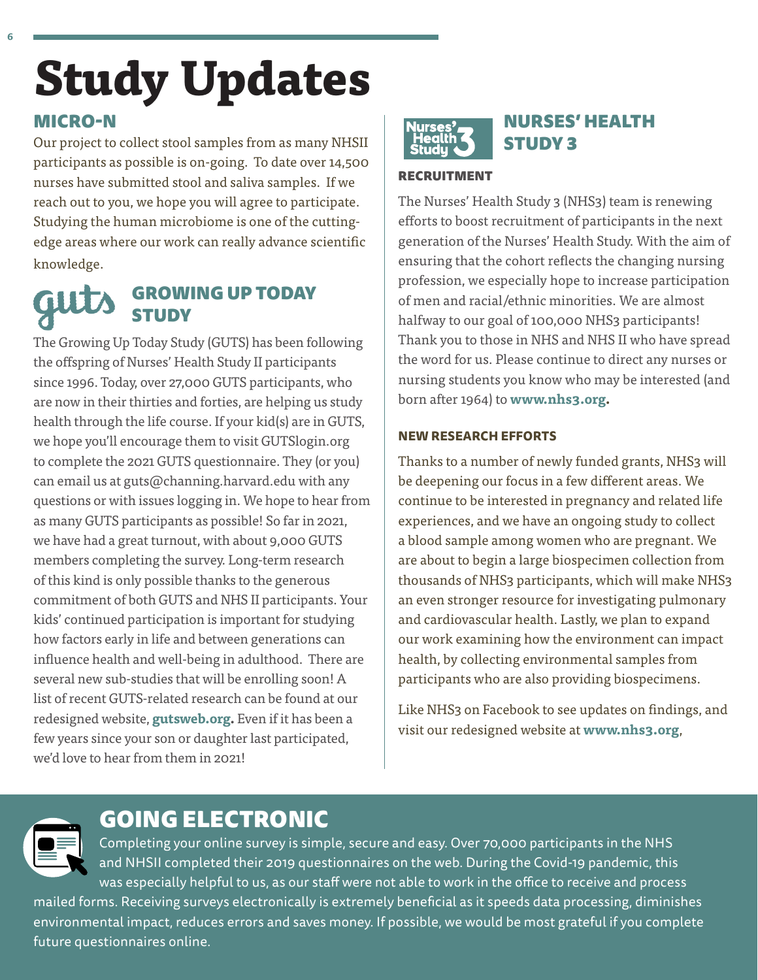# **Study Updates**

#### MICRO-N

Our project to collect stool samples from as many NHSII participants as possible is on-going. To date over 14,500 nurses have submitted stool and saliva samples. If we reach out to you, we hope you will agree to participate. Studying the human microbiome is one of the cuttingedge areas where our work can really advance scientific knowledge.

#### GROWING UP TODAY **STUDY**

The Growing Up Today Study (GUTS) has been following the offspring of Nurses' Health Study II participants since 1996. Today, over 27,000 GUTS participants, who are now in their thirties and forties, are helping us study health through the life course. If your kid(s) are in GUTS, we hope you'll encourage them to visit GUTSlogin.org to complete the 2021 GUTS questionnaire. They (or you) can email us at guts@channing.harvard.edu with any questions or with issues logging in. We hope to hear from as many GUTS participants as possible! So far in 2021, we have had a great turnout, with about 9,000 GUTS members completing the survey. Long-term research of this kind is only possible thanks to the generous commitment of both GUTS and NHS II participants. Your kids' continued participation is important for studying how factors early in life and between generations can influence health and well-being in adulthood. There are several new sub-studies that will be enrolling soon! A list of recent GUTS-related research can be found at our redesigned website, **gutsweb.org.** Even if it has been a few years since your son or daughter last participated, we'd love to hear from them in 2021!



#### NURSES' HEALTH STUDY 3

#### RECRUITMENT

The Nurses' Health Study 3 (NHS3) team is renewing efforts to boost recruitment of participants in the next generation of the Nurses' Health Study. With the aim of ensuring that the cohort reflects the changing nursing profession, we especially hope to increase participation of men and racial/ethnic minorities. We are almost halfway to our goal of 100,000 NHS3 participants! Thank you to those in NHS and NHS II who have spread the word for us. Please continue to direct any nurses or nursing students you know who may be interested (and born after 1964) to **www.nhs3.org.**

#### **NEW RESEARCH EFFORTS**

Thanks to a number of newly funded grants, NHS3 will be deepening our focus in a few different areas. We continue to be interested in pregnancy and related life experiences, and we have an ongoing study to collect a blood sample among women who are pregnant. We are about to begin a large biospecimen collection from thousands of NHS3 participants, which will make NHS3 an even stronger resource for investigating pulmonary and cardiovascular health. Lastly, we plan to expand our work examining how the environment can impact health, by collecting environmental samples from participants who are also providing biospecimens.

Like NHS3 on Facebook to see updates on findings, and visit our redesigned website at **www.nhs3.org**,



### GOING ELECTRONIC

Completing your online survey is simple, secure and easy. Over 70,000 participants in the NHS and NHSII completed their 2019 questionnaires on the web. During the Covid-19 pandemic, this was especially helpful to us, as our staff were not able to work in the office to receive and process

mailed forms. Receiving surveys electronically is extremely beneficial as it speeds data processing, diminishes environmental impact, reduces errors and saves money. If possible, we would be most grateful if you complete future questionnaires online.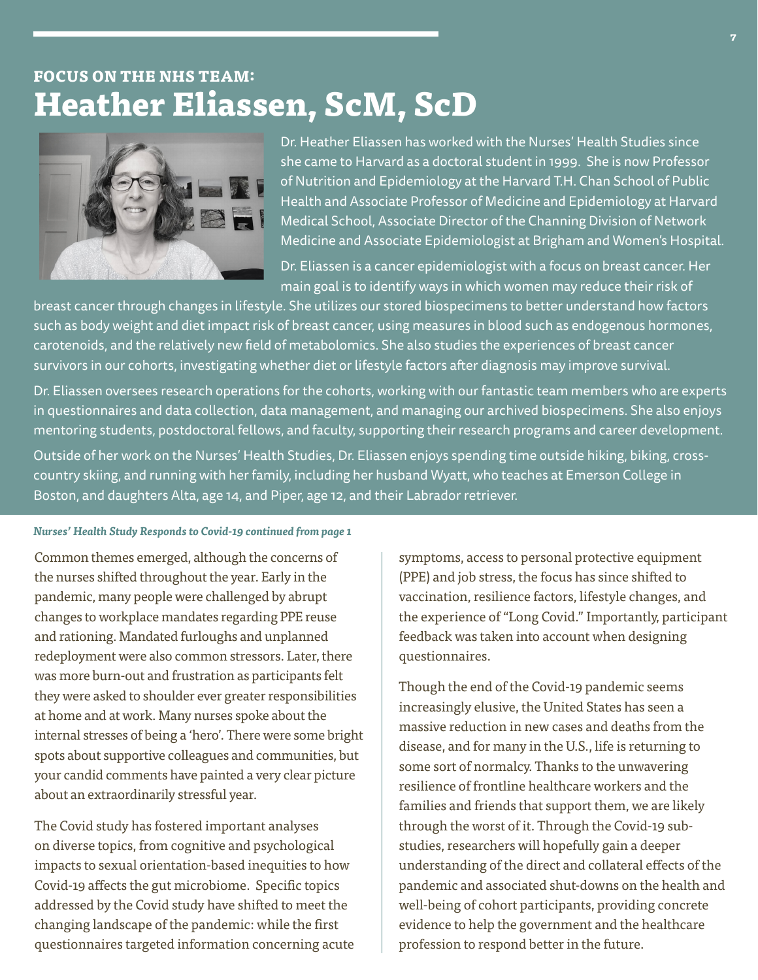#### **FOCUS ON THE NHS TEAM: Heather Eliassen, ScM, ScD**



Dr. Heather Eliassen has worked with the Nurses' Health Studies since she came to Harvard as a doctoral student in 1999. She is now Professor of Nutrition and Epidemiology at the Harvard T.H. Chan School of Public Health and Associate Professor of Medicine and Epidemiology at Harvard Medical School, Associate Director of the Channing Division of Network Medicine and Associate Epidemiologist at Brigham and Women's Hospital.

Dr. Eliassen is a cancer epidemiologist with a focus on breast cancer. Her main goal is to identify ways in which women may reduce their risk of

breast cancer through changes in lifestyle. She utilizes our stored biospecimens to better understand how factors such as body weight and diet impact risk of breast cancer, using measures in blood such as endogenous hormones, carotenoids, and the relatively new field of metabolomics. She also studies the experiences of breast cancer survivors in our cohorts, investigating whether diet or lifestyle factors after diagnosis may improve survival.

Dr. Eliassen oversees research operations for the cohorts, working with our fantastic team members who are experts in questionnaires and data collection, data management, and managing our archived biospecimens. She also enjoys mentoring students, postdoctoral fellows, and faculty, supporting their research programs and career development.

Outside of her work on the Nurses' Health Studies, Dr. Eliassen enjoys spending time outside hiking, biking, crosscountry skiing, and running with her family, including her husband Wyatt, who teaches at Emerson College in Boston, and daughters Alta, age 14, and Piper, age 12, and their Labrador retriever.

#### *Nurses' Health Study Responds to Covid-19 continued from page 1*

Common themes emerged, although the concerns of the nurses shifted throughout the year. Early in the pandemic, many people were challenged by abrupt changes to workplace mandates regarding PPE reuse and rationing. Mandated furloughs and unplanned redeployment were also common stressors. Later, there was more burn-out and frustration as participants felt they were asked to shoulder ever greater responsibilities at home and at work. Many nurses spoke about the internal stresses of being a 'hero'. There were some bright spots about supportive colleagues and communities, but your candid comments have painted a very clear picture about an extraordinarily stressful year.

The Covid study has fostered important analyses on diverse topics, from cognitive and psychological impacts to sexual orientation-based inequities to how Covid-19 affects the gut microbiome. Specific topics addressed by the Covid study have shifted to meet the changing landscape of the pandemic: while the first questionnaires targeted information concerning acute

symptoms, access to personal protective equipment (PPE) and job stress, the focus has since shifted to vaccination, resilience factors, lifestyle changes, and the experience of "Long Covid." Importantly, participant feedback was taken into account when designing questionnaires.

Though the end of the Covid-19 pandemic seems increasingly elusive, the United States has seen a massive reduction in new cases and deaths from the disease, and for many in the U.S., life is returning to some sort of normalcy. Thanks to the unwavering resilience of frontline healthcare workers and the families and friends that support them, we are likely through the worst of it. Through the Covid-19 substudies, researchers will hopefully gain a deeper understanding of the direct and collateral effects of the pandemic and associated shut-downs on the health and well-being of cohort participants, providing concrete evidence to help the government and the healthcare profession to respond better in the future.